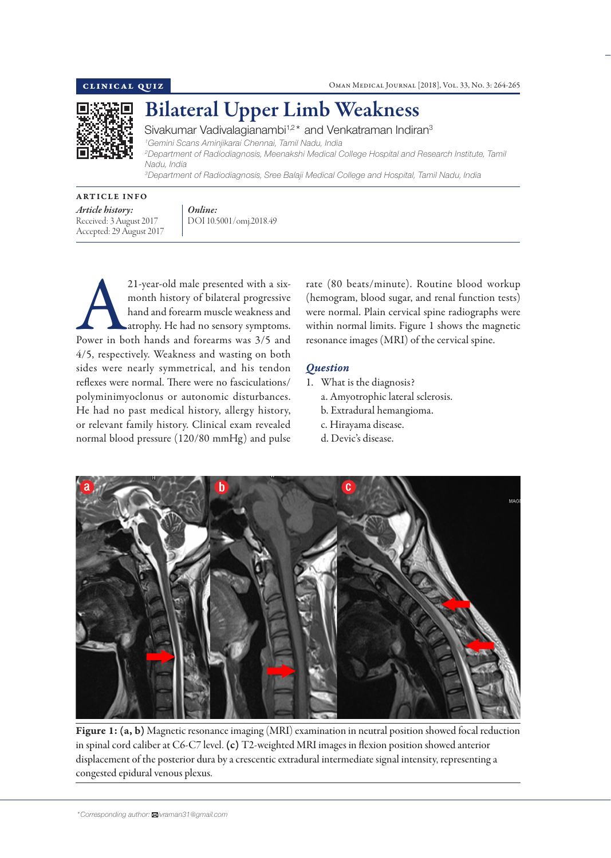

# Bilateral Upper Limb Weakness

Sivakumar Vadivalagianambi<sup>1,2\*</sup> and Venkatraman Indiran<sup>3</sup> *1 Gemini Scans Aminjikarai Chennai, Tamil Nadu, India 2 Department of Radiodiagnosis, Meenakshi Medical College Hospital and Research Institute, Tamil Nadu, India*

*3 Department of Radiodiagnosis, Sree Balaji Medical College and Hospital, Tamil Nadu, India*

ARTICLE INFO

*Article history:*  Received: 3 August 2017 Accepted: 29 August 2017 *Online:* DOI 10.5001/omj.2018.49

21-year-old male presented with a six-<br>month history of bilateral progressive<br>hand and forearm muscle weakness and<br>atrophy. He had no sensory symptoms.<br>Power in both hands and forearms was 3/5 and month history of bilateral progressive hand and forearm muscle weakness and atrophy. He had no sensory symptoms. 4/5, respectively. Weakness and wasting on both sides were nearly symmetrical, and his tendon reflexes were normal. There were no fasciculations/ polyminimyoclonus or autonomic disturbances. He had no past medical history, allergy history, or relevant family history. Clinical exam revealed normal blood pressure (120/80 mmHg) and pulse

rate (80 beats/minute). Routine blood workup (hemogram, blood sugar, and renal function tests) were normal. Plain cervical spine radiographs were within normal limits. Figure 1 shows the magnetic resonance images (MRI) of the cervical spine.

## *Question*

- 1. What is the diagnosis?
	- a. Amyotrophic lateral sclerosis.
	- b. Extradural hemangioma.
	- c. Hirayama disease.
	- d. Devic's disease.



Figure 1: (a, b) Magnetic resonance imaging (MRI) examination in neutral position showed focal reduction in spinal cord caliber at C6-C7 level. (c) T2-weighted MRI images in flexion position showed anterior displacement of the posterior dura by a crescentic extradural intermediate signal intensity, representing a congested epidural venous plexus.